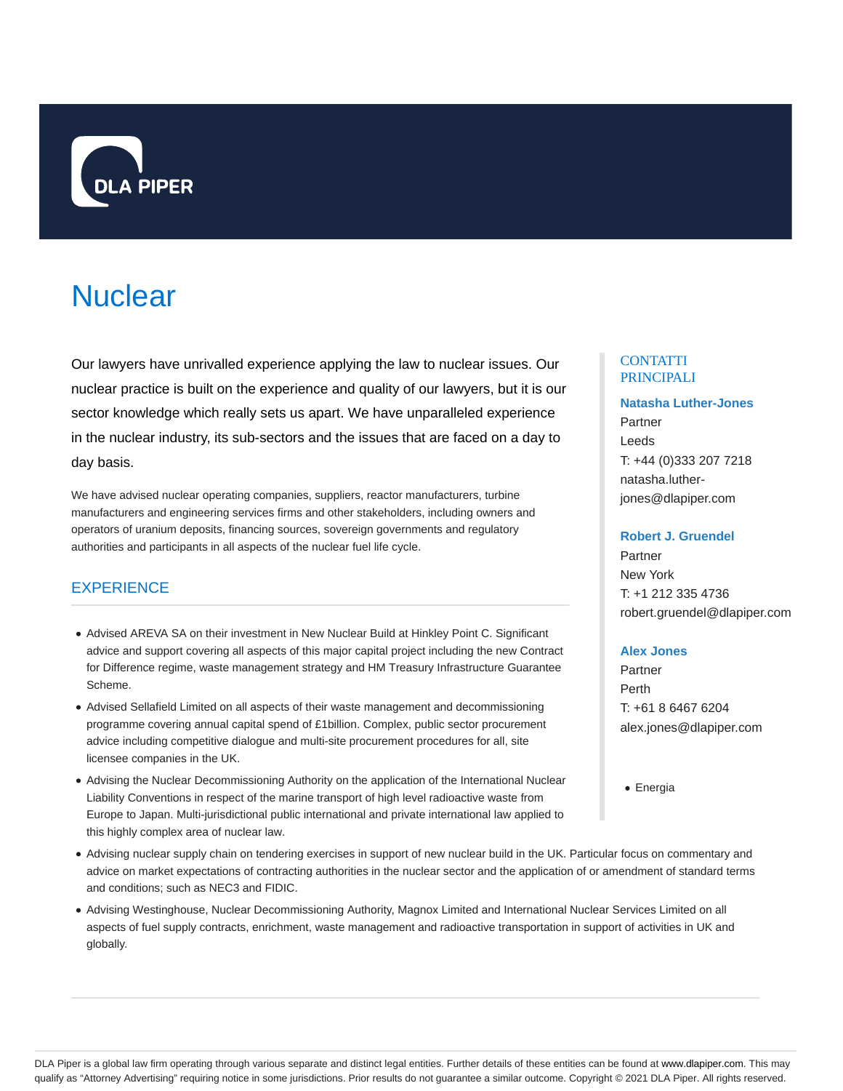

# **Nuclear**

Our lawyers have unrivalled experience applying the law to nuclear issues. Our nuclear practice is built on the experience and quality of our lawyers, but it is our sector knowledge which really sets us apart. We have unparalleled experience in the nuclear industry, its sub-sectors and the issues that are faced on a day to day basis.

We have advised nuclear operating companies, suppliers, reactor manufacturers, turbine manufacturers and engineering services firms and other stakeholders, including owners and operators of uranium deposits, financing sources, sovereign governments and regulatory authorities and participants in all aspects of the nuclear fuel life cycle.

## **EXPERIENCE**

- Advised AREVA SA on their investment in New Nuclear Build at Hinkley Point C. Significant advice and support covering all aspects of this major capital project including the new Contract for Difference regime, waste management strategy and HM Treasury Infrastructure Guarantee Scheme.
- Advised Sellafield Limited on all aspects of their waste management and decommissioning programme covering annual capital spend of £1billion. Complex, public sector procurement advice including competitive dialogue and multi-site procurement procedures for all, site licensee companies in the UK.
- Advising the Nuclear Decommissioning Authority on the application of the International Nuclear Liability Conventions in respect of the marine transport of high level radioactive waste from Europe to Japan. Multi-jurisdictional public international and private international law applied to this highly complex area of nuclear law.
- Advising nuclear supply chain on tendering exercises in support of new nuclear build in the UK. Particular focus on commentary and advice on market expectations of contracting authorities in the nuclear sector and the application of or amendment of standard terms and conditions; such as NEC3 and FIDIC.
- Advising Westinghouse, Nuclear Decommissioning Authority, Magnox Limited and International Nuclear Services Limited on all aspects of fuel supply contracts, enrichment, waste management and radioactive transportation in support of activities in UK and globally.

#### **CONTATTI** PRINCIPALI

### **Natasha Luther-Jones** Partner Leeds T: +44 (0)333 207 7218 natasha.lutherjones@dlapiper.com

#### **Robert J. Gruendel**

Partner New York T: +1 212 335 4736 robert.gruendel@dlapiper.com

#### **Alex Jones**

Partner Perth T: +61 8 6467 6204 alex.jones@dlapiper.com

Energia